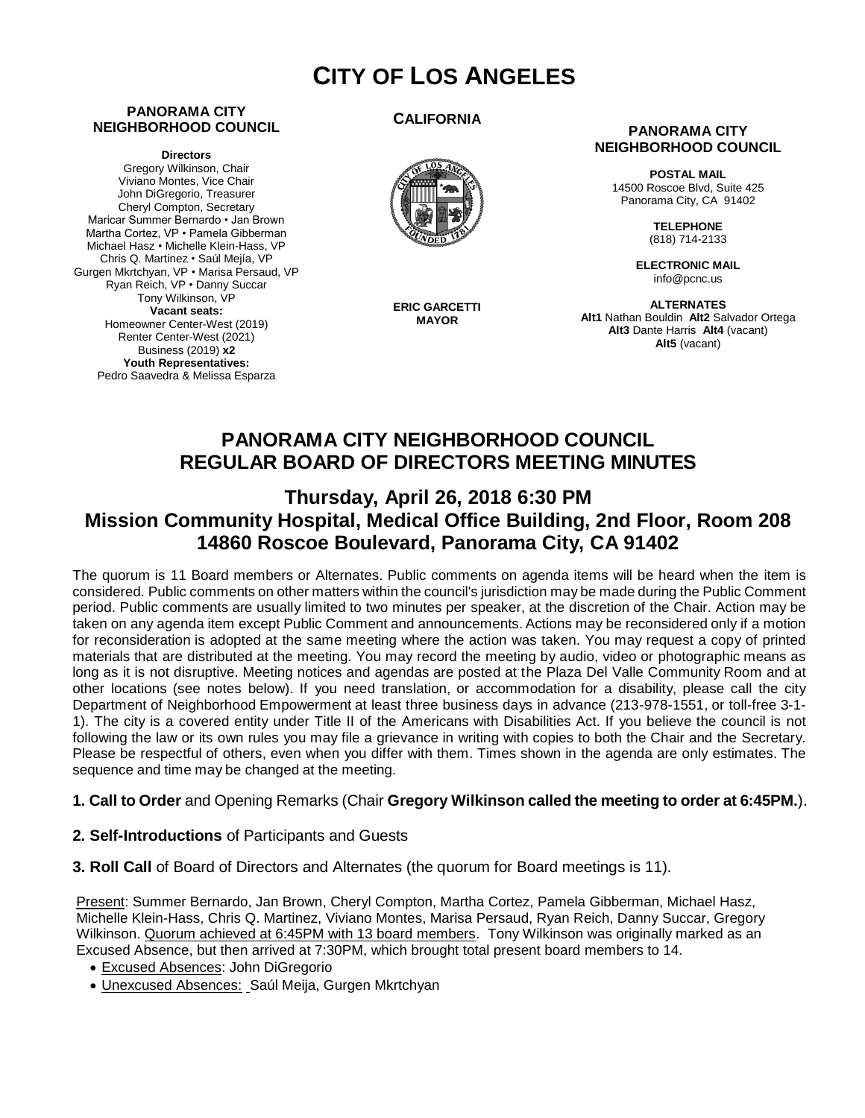# **CITY OF LOS ANGELES**

#### **PANORAMA CITY NEIGHBORHOOD COUNCIL**

**Directors**

Gregory Wilkinson, Chair Viviano Montes, Vice Chair John DiGregorio, Treasurer Cheryl Compton, Secretary Maricar Summer Bernardo • Jan Brown Martha Cortez, VP • Pamela Gibberman Michael Hasz • Michelle Klein-Hass, VP Chris Q. Martinez • Saúl Mejía, VP Gurgen Mkrtchyan, VP • Marisa Persaud, VP Ryan Reich, VP • Danny Succar Tony Wilkinson, VP **Vacant seats:**  Homeowner Center-West (2019) Renter Center-West (2021) Business (2019) **x2 Youth Representatives:**  Pedro Saavedra & Melissa Esparza

#### **CALIFORNIA**



**ERIC GARCETTI MAYOR**

#### **PANORAMA CITY NEIGHBORHOOD COUNCIL**

**POSTAL MAIL** 14500 Roscoe Blvd, Suite 425 Panorama City, CA 91402

> **TELEPHONE** (818) 714-2133

**ELECTRONIC MAIL** info@pcnc.us

**ALTERNATES Alt1** Nathan Bouldin **Alt2** Salvador Ortega **Alt3** Dante Harris **Alt4** (vacant) **Alt5** (vacant)

## **PANORAMA CITY NEIGHBORHOOD COUNCIL REGULAR BOARD OF DIRECTORS MEETING MINUTES**

## **Thursday, April 26, 2018 6:30 PM Mission Community Hospital, Medical Office Building, 2nd Floor, Room 208 14860 Roscoe Boulevard, Panorama City, CA 91402**

The quorum is 11 Board members or Alternates. Public comments on agenda items will be heard when the item is considered. Public comments on other matters within the council's jurisdiction may be made during the Public Comment period. Public comments are usually limited to two minutes per speaker, at the discretion of the Chair. Action may be taken on any agenda item except Public Comment and announcements. Actions may be reconsidered only if a motion for reconsideration is adopted at the same meeting where the action was taken. You may request a copy of printed materials that are distributed at the meeting. You may record the meeting by audio, video or photographic means as long as it is not disruptive. Meeting notices and agendas are posted at the Plaza Del Valle Community Room and at other locations (see notes below). If you need translation, or accommodation for a disability, please call the city Department of Neighborhood Empowerment at least three business days in advance (213-978-1551, or toll-free 3-1- 1). The city is a covered entity under Title II of the Americans with Disabilities Act. If you believe the council is not following the law or its own rules you may file a grievance in writing with copies to both the Chair and the Secretary. Please be respectful of others, even when you differ with them. Times shown in the agenda are only estimates. The sequence and time may be changed at the meeting.

#### **1. Call to Order** and Opening Remarks (Chair **Gregory Wilkinson called the meeting to order at 6:45PM.**).

- **2. Self-Introductions** of Participants and Guests
- **3. Roll Call** of Board of Directors and Alternates (the quorum for Board meetings is 11).

Present: Summer Bernardo, Jan Brown, Cheryl Compton, Martha Cortez, Pamela Gibberman, Michael Hasz, Michelle Klein-Hass, Chris Q. Martinez, Viviano Montes, Marisa Persaud, Ryan Reich, Danny Succar, Gregory Wilkinson. Quorum achieved at 6:45PM with 13 board members. Tony Wilkinson was originally marked as an Excused Absence, but then arrived at 7:30PM, which brought total present board members to 14.

- Excused Absences: John DiGregorio
- Unexcused Absences: Saúl Meija, Gurgen Mkrtchyan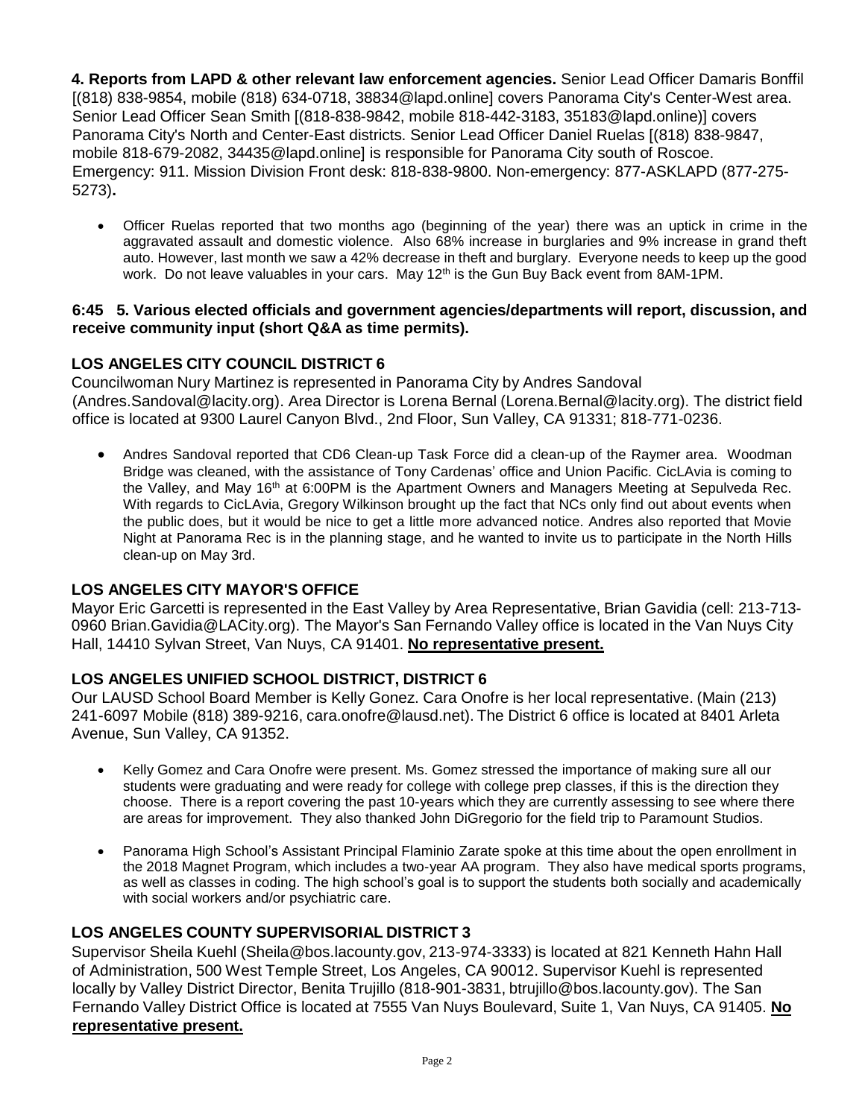**4. Reports from LAPD & other relevant law enforcement agencies.** Senior Lead Officer Damaris Bonffil [(818) 838-9854, mobile (818) 634-0718, [38834@lapd.online](mailto:38834@lapd.online)] covers Panorama City's Center-West area. Senior Lead Officer Sean Smith [(818-838-9842, mobile 818-442-3183, [35183@lapd.online](mailto:35183@lapd.online))] covers Panorama City's North and Center-East districts. Senior Lead Officer Daniel Ruelas [(818) 838-9847, mobile 818-679-208[2, 34435@lapd.online](mailto:34435@lapd.online)] is responsible for Panorama City south of Roscoe. Emergency: 911. Mission Division Front desk: 818-838-9800. Non-emergency: 877-ASKLAPD (877-275- 5273)**.**

• Officer Ruelas reported that two months ago (beginning of the year) there was an uptick in crime in the aggravated assault and domestic violence. Also 68% increase in burglaries and 9% increase in grand theft auto. However, last month we saw a 42% decrease in theft and burglary. Everyone needs to keep up the good work. Do not leave valuables in your cars. May 12<sup>th</sup> is the Gun Buy Back event from 8AM-1PM.

#### **6:45 5. Various elected officials and government agencies/departments will report, discussion, and receive community input (short Q&A as time permits).**

## **LOS ANGELES CITY COUNCIL DISTRICT 6**

Councilwoman Nury Martinez is represented in Panorama City by Andres Sandoval (Andre[s.Sandoval@lacity.org](mailto:Sandoval@lacity.org)). Area Director is Lorena Bernal (Lore[na.Bernal@lacity.org\)](mailto:Bernal@lacity.org). The district field office is located at 9300 Laurel Canyon Blvd., 2nd Floor, Sun Valley, CA 91331; 818-771-0236.

• Andres Sandoval reported that CD6 Clean-up Task Force did a clean-up of the Raymer area. Woodman Bridge was cleaned, with the assistance of Tony Cardenas' office and Union Pacific. CicLAvia is coming to the Valley, and May 16<sup>th</sup> at 6:00PM is the Apartment Owners and Managers Meeting at Sepulveda Rec. With regards to CicLAvia, Gregory Wilkinson brought up the fact that NCs only find out about events when the public does, but it would be nice to get a little more advanced notice. Andres also reported that Movie Night at Panorama Rec is in the planning stage, and he wanted to invite us to participate in the North Hills clean-up on May 3rd.

## **LOS ANGELES CITY MAYOR'S OFFICE**

Mayor Eric Garcetti is represented in the East Valley by Area Representative, Brian Gavidia (cell: 213-713- 0960 Bri[an.Gavidia@LACity.org\)](mailto:Gavidia@LACity.org). The Mayor's San Fernando Valley office is located in the Van Nuys City Hall, 14410 Sylvan Street, Van Nuys, CA 91401. **No representative present.**

## **LOS ANGELES UNIFIED SCHOOL DISTRICT, DISTRICT 6**

Our LAUSD School Board Member is Kelly Gonez. Cara Onofre is her local representative. (Main (213) 241-6097 Mobile (818) 389-9216, ca[ra.onofre@lausd.net\).](mailto:onofre@lausd.net) The District 6 office is located at 8401 Arleta Avenue, Sun Valley, CA 91352.

- Kelly Gomez and Cara Onofre were present. Ms. Gomez stressed the importance of making sure all our students were graduating and were ready for college with college prep classes, if this is the direction they choose. There is a report covering the past 10-years which they are currently assessing to see where there are areas for improvement. They also thanked John DiGregorio for the field trip to Paramount Studios.
- Panorama High School's Assistant Principal Flaminio Zarate spoke at this time about the open enrollment in the 2018 Magnet Program, which includes a two-year AA program. They also have medical sports programs, as well as classes in coding. The high school's goal is to support the students both socially and academically with social workers and/or psychiatric care.

## **LOS ANGELES COUNTY SUPERVISORIAL DISTRICT 3**

Supervisor Sheila Kuehl [\(Sheila@bos.lacounty.gov,](mailto:Sheila@bos.lacounty.gov) 213-974-3333) is located at 821 Kenneth Hahn Hall of Administration, 500 West Temple Street, Los Angeles, CA 90012. Supervisor Kuehl is represented locally by Valley District Director, Benita Trujillo (818-901-3831, [btrujillo@bos.lacounty.gov\)](mailto:btrujillo@bos.lacounty.gov). The San Fernando Valley District Office is located at 7555 Van Nuys Boulevard, Suite 1, Van Nuys, CA 91405. **No representative present.**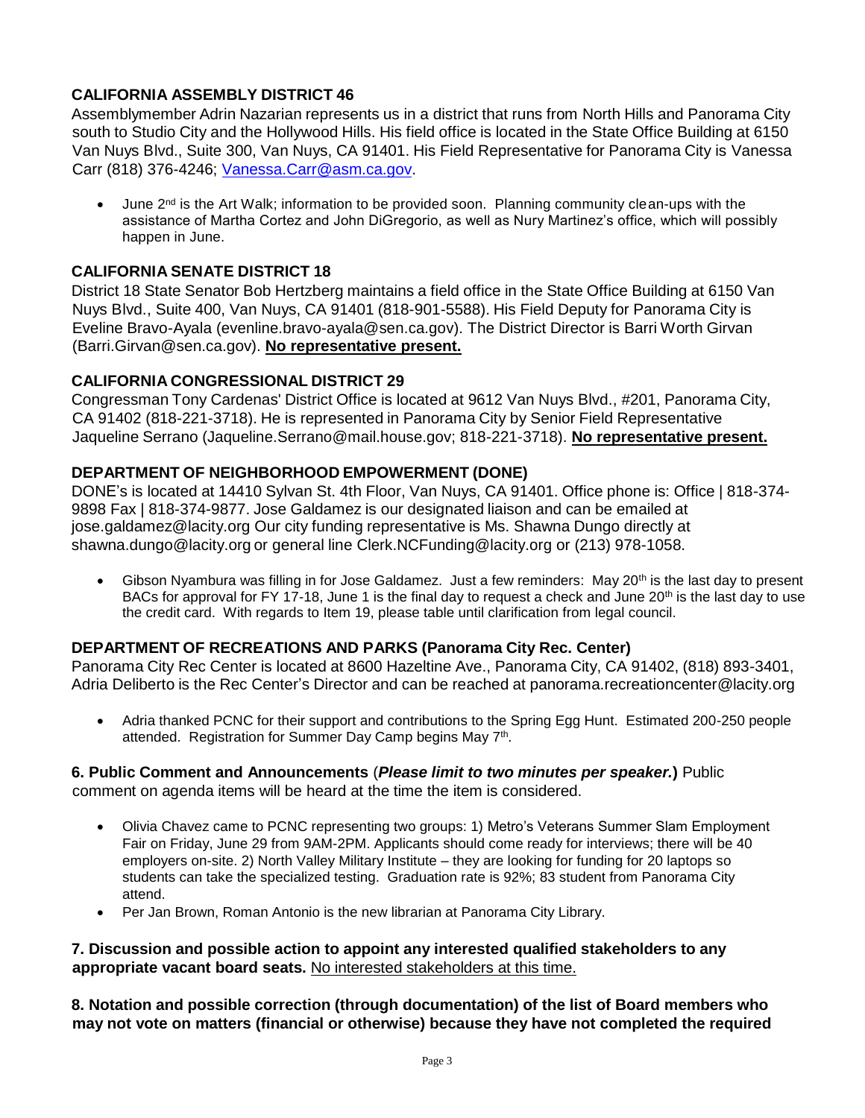## **CALIFORNIA ASSEMBLY DISTRICT 46**

Assemblymember Adrin Nazarian represents us in a district that runs from North Hills and Panorama City south to Studio City and the Hollywood Hills. His field office is located in the State Office Building at 6150 Van Nuys Blvd., Suite 300, Van Nuys, CA 91401. His Field Representative for Panorama City is Vanessa Carr (818) 376-4246; [Vanessa.Carr@asm.ca.gov.](mailto:Vanessa.Carr@asm.ca.gov)

• June 2nd is the Art Walk; information to be provided soon. Planning community clean-ups with the assistance of Martha Cortez and John DiGregorio, as well as Nury Martinez's office, which will possibly happen in June.

## **CALIFORNIA SENATE DISTRICT 18**

District 18 State Senator Bob Hertzberg maintains a field office in the State Office Building at 6150 Van Nuys Blvd., Suite 400, Van Nuys, CA 91401 (818-901-5588). His Field Deputy for Panorama City is Eveline Bravo-Ayala (evenlin[e.bravo-ayala@sen.ca.gov\)](mailto:bravo-ayala@sen.ca.gov). The District Director is Barri Worth Girvan (Barr[i.Girvan@sen.ca.gov](mailto:Girvan@sen.ca.gov)). **No representative present.**

## **CALIFORNIA CONGRESSIONAL DISTRICT 29**

Congressman Tony Cardenas' District Office is located at 9612 Van Nuys Blvd., #201, Panorama City, CA 91402 (818-221-3718). He is represented in Panorama City by Senior Field Representative Jaqueline Serrano (Jaqueli[ne.Serrano@mail.house.gov](mailto:Serrano@mail.house.gov); 818-221-3718). **No representative present.**

## **DEPARTMENT OF NEIGHBORHOOD EMPOWERMENT (DONE)**

DONE's is located at 14410 Sylvan St. 4th Floor, Van Nuys, CA 91401. Office phone is: Office | 818-374- 9898 Fax | 818-374-9877. Jose Galdamez is our designated liaison and can be emailed at jo[se.galdamez@lacity.org](mailto:galdamez@lacity.org) Our city funding representative is Ms. Shawna Dungo directly at sh[awna.dungo@lacity.org](mailto:dungo@lacity.org) or general line Cler[k.NCFunding@lacity.org](mailto:NCFunding@lacity.org) or (213) 978-1058.

• Gibson Nyambura was filling in for Jose Galdamez. Just a few reminders: May 20<sup>th</sup> is the last day to present BACs for approval for FY 17-18, June 1 is the final day to request a check and June 20<sup>th</sup> is the last day to use the credit card. With regards to Item 19, please table until clarification from legal council.

## **DEPARTMENT OF RECREATIONS AND PARKS (Panorama City Rec. Center)**

Panorama City Rec Center is located at 8600 Hazeltine Ave., Panorama City, CA 91402, (818) 893-3401, Adria Deliberto is the Rec Center's Director and can be reached at panora[ma.recreationcenter@lacity.org](mailto:recreationcenter@lacity.org)

• Adria thanked PCNC for their support and contributions to the Spring Egg Hunt. Estimated 200-250 people attended. Registration for Summer Day Camp begins May 7<sup>th</sup>.

#### **6. Public Comment and Announcements** (*Please limit to two minutes per speaker.***)** Public comment on agenda items will be heard at the time the item is considered.

- Olivia Chavez came to PCNC representing two groups: 1) Metro's Veterans Summer Slam Employment Fair on Friday, June 29 from 9AM-2PM. Applicants should come ready for interviews; there will be 40 employers on-site. 2) North Valley Military Institute – they are looking for funding for 20 laptops so students can take the specialized testing. Graduation rate is 92%; 83 student from Panorama City attend.
- Per Jan Brown, Roman Antonio is the new librarian at Panorama City Library.

#### **7. Discussion and possible action to appoint any interested qualified stakeholders to any appropriate vacant board seats.** No interested stakeholders at this time.

**8. Notation and possible correction (through documentation) of the list of Board members who may not vote on matters (financial or otherwise) because they have not completed the required**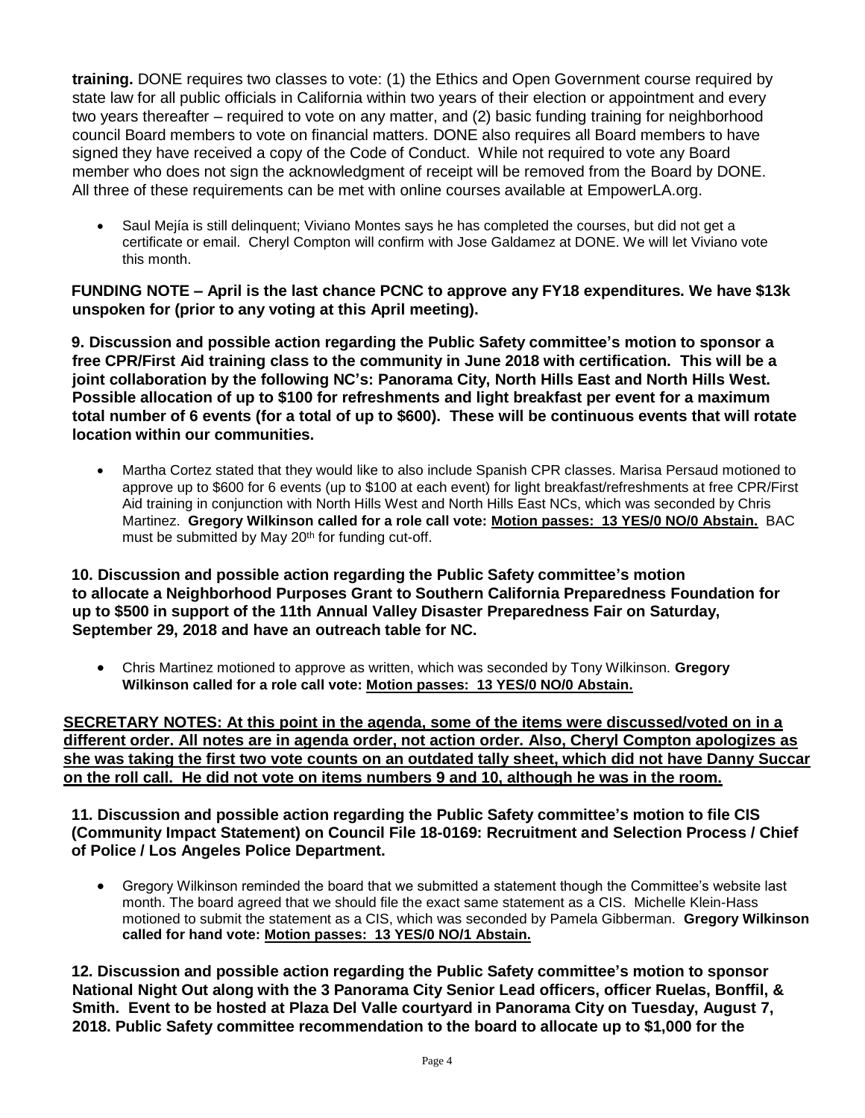**training.** DONE requires two classes to vote: (1) the Ethics and Open Government course required by state law for all public officials in California within two years of their election or appointment and every two years thereafter – required to vote on any matter, and (2) basic funding training for neighborhood council Board members to vote on financial matters. DONE also requires all Board members to have signed they have received a copy of the Code of Conduct. While not required to vote any Board member who does not sign the acknowledgment of receipt will be removed from the Board by DONE. All three of these requirements can be met with online courses available at EmpowerLA.org.

Saul Mejía is still delinquent; Viviano Montes says he has completed the courses, but did not get a certificate or email. Cheryl Compton will confirm with Jose Galdamez at DONE. We will let Viviano vote this month.

**FUNDING NOTE – April is the last chance PCNC to approve any FY18 expenditures. We have \$13k unspoken for (prior to any voting at this April meeting).**

**9. Discussion and possible action regarding the Public Safety committee's motion to sponsor a free CPR/First Aid training class to the community in June 2018 with certification. This will be a joint collaboration by the following NC's: Panorama City, North Hills East and North Hills West. Possible allocation of up to \$100 for refreshments and light breakfast per event for a maximum total number of 6 events (for a total of up to \$600). These will be continuous events that will rotate location within our communities.**

• Martha Cortez stated that they would like to also include Spanish CPR classes. Marisa Persaud motioned to approve up to \$600 for 6 events (up to \$100 at each event) for light breakfast/refreshments at free CPR/First Aid training in conjunction with North Hills West and North Hills East NCs, which was seconded by Chris Martinez. **Gregory Wilkinson called for a role call vote: Motion passes: 13 YES/0 NO/0 Abstain.** BAC must be submitted by May 20<sup>th</sup> for funding cut-off.

**10. Discussion and possible action regarding the Public Safety committee's motion to allocate a Neighborhood Purposes Grant to Southern California Preparedness Foundation for up to \$500 in support of the 11th Annual Valley Disaster Preparedness Fair on Saturday, September 29, 2018 and have an outreach table for NC.**

• Chris Martinez motioned to approve as written, which was seconded by Tony Wilkinson. **Gregory Wilkinson called for a role call vote: Motion passes: 13 YES/0 NO/0 Abstain.**

**SECRETARY NOTES: At this point in the agenda, some of the items were discussed/voted on in a different order. All notes are in agenda order, not action order. Also, Cheryl Compton apologizes as she was taking the first two vote counts on an outdated tally sheet, which did not have Danny Succar on the roll call. He did not vote on items numbers 9 and 10, although he was in the room.**

**11. Discussion and possible action regarding the Public Safety committee's motion to file CIS (Community Impact Statement) on Council File 18-0169: Recruitment and Selection Process / Chief of Police / Los Angeles Police Department.**

• Gregory Wilkinson reminded the board that we submitted a statement though the Committee's website last month. The board agreed that we should file the exact same statement as a CIS. Michelle Klein-Hass motioned to submit the statement as a CIS, which was seconded by Pamela Gibberman. **Gregory Wilkinson called for hand vote: Motion passes: 13 YES/0 NO/1 Abstain.**

**12. Discussion and possible action regarding the Public Safety committee's motion to sponsor National Night Out along with the 3 Panorama City Senior Lead officers, officer Ruelas, Bonffil, & Smith. Event to be hosted at Plaza Del Valle courtyard in Panorama City on Tuesday, August 7, 2018. Public Safety committee recommendation to the board to allocate up to \$1,000 for the**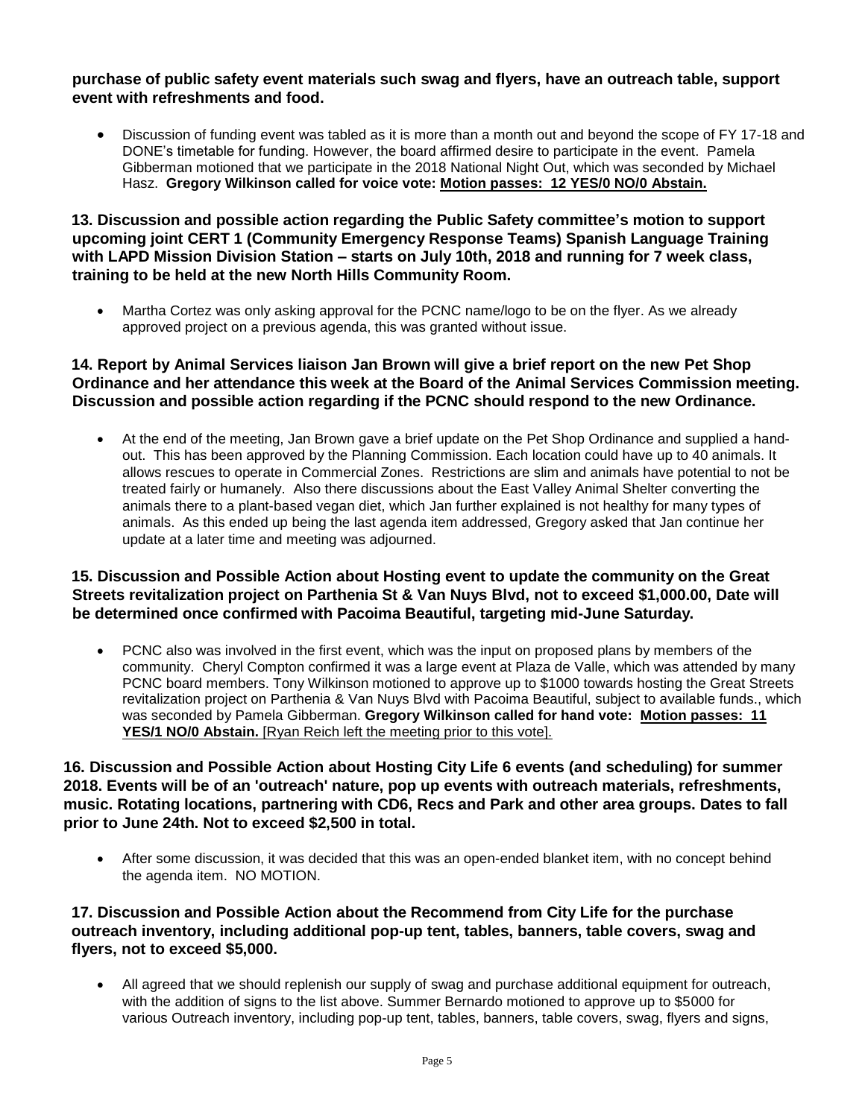#### **purchase of public safety event materials such swag and flyers, have an outreach table, support event with refreshments and food.**

• Discussion of funding event was tabled as it is more than a month out and beyond the scope of FY 17-18 and DONE's timetable for funding. However, the board affirmed desire to participate in the event. Pamela Gibberman motioned that we participate in the 2018 National Night Out, which was seconded by Michael Hasz. **Gregory Wilkinson called for voice vote: Motion passes: 12 YES/0 NO/0 Abstain.**

#### **13. Discussion and possible action regarding the Public Safety committee's motion to support upcoming joint CERT 1 (Community Emergency Response Teams) Spanish Language Training with LAPD Mission Division Station – starts on July 10th, 2018 and running for 7 week class, training to be held at the new North Hills Community Room.**

• Martha Cortez was only asking approval for the PCNC name/logo to be on the flyer. As we already approved project on a previous agenda, this was granted without issue.

#### **14. Report by Animal Services liaison Jan Brown will give a brief report on the new Pet Shop Ordinance and her attendance this week at the Board of the Animal Services Commission meeting. Discussion and possible action regarding if the PCNC should respond to the new Ordinance.**

• At the end of the meeting, Jan Brown gave a brief update on the Pet Shop Ordinance and supplied a handout. This has been approved by the Planning Commission. Each location could have up to 40 animals. It allows rescues to operate in Commercial Zones. Restrictions are slim and animals have potential to not be treated fairly or humanely. Also there discussions about the East Valley Animal Shelter converting the animals there to a plant-based vegan diet, which Jan further explained is not healthy for many types of animals. As this ended up being the last agenda item addressed, Gregory asked that Jan continue her update at a later time and meeting was adjourned.

#### **15. Discussion and Possible Action about Hosting event to update the community on the Great Streets revitalization project on Parthenia St & Van Nuys Blvd, not to exceed \$1,000.00, Date will be determined once confirmed with Pacoima Beautiful, targeting mid-June Saturday.**

• PCNC also was involved in the first event, which was the input on proposed plans by members of the community. Cheryl Compton confirmed it was a large event at Plaza de Valle, which was attended by many PCNC board members. Tony Wilkinson motioned to approve up to \$1000 towards hosting the Great Streets revitalization project on Parthenia & Van Nuys Blvd with Pacoima Beautiful, subject to available funds., which was seconded by Pamela Gibberman. **Gregory Wilkinson called for hand vote: Motion passes: 11 YES/1 NO/0 Abstain.** [Ryan Reich left the meeting prior to this vote].

#### **16. Discussion and Possible Action about Hosting City Life 6 events (and scheduling) for summer 2018. Events will be of an 'outreach' nature, pop up events with outreach materials, refreshments, music. Rotating locations, partnering with CD6, Recs and Park and other area groups. Dates to fall prior to June 24th. Not to exceed \$2,500 in total.**

• After some discussion, it was decided that this was an open-ended blanket item, with no concept behind the agenda item. NO MOTION.

#### **17. Discussion and Possible Action about the Recommend from City Life for the purchase outreach inventory, including additional pop-up tent, tables, banners, table covers, swag and flyers, not to exceed \$5,000.**

• All agreed that we should replenish our supply of swag and purchase additional equipment for outreach, with the addition of signs to the list above. Summer Bernardo motioned to approve up to \$5000 for various Outreach inventory, including pop-up tent, tables, banners, table covers, swag, flyers and signs,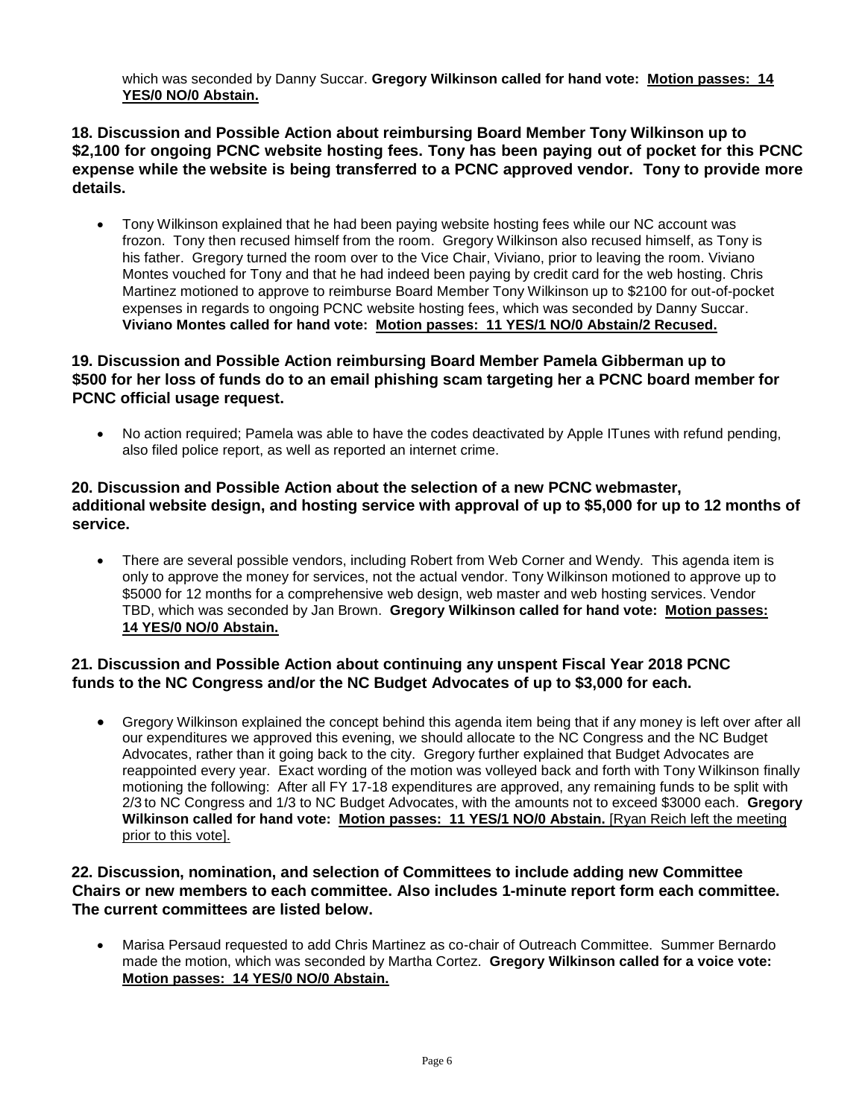which was seconded by Danny Succar. **Gregory Wilkinson called for hand vote: Motion passes: 14 YES/0 NO/0 Abstain.**

#### **18. Discussion and Possible Action about reimbursing Board Member Tony Wilkinson up to \$2,100 for ongoing PCNC website hosting fees. Tony has been paying out of pocket for this PCNC expense while the website is being transferred to a PCNC approved vendor. Tony to provide more details.**

• Tony Wilkinson explained that he had been paying website hosting fees while our NC account was frozon. Tony then recused himself from the room. Gregory Wilkinson also recused himself, as Tony is his father. Gregory turned the room over to the Vice Chair, Viviano, prior to leaving the room. Viviano Montes vouched for Tony and that he had indeed been paying by credit card for the web hosting. Chris Martinez motioned to approve to reimburse Board Member Tony Wilkinson up to \$2100 for out-of-pocket expenses in regards to ongoing PCNC website hosting fees, which was seconded by Danny Succar. **Viviano Montes called for hand vote: Motion passes: 11 YES/1 NO/0 Abstain/2 Recused.**

#### **19. Discussion and Possible Action reimbursing Board Member Pamela Gibberman up to \$500 for her loss of funds do to an email phishing scam targeting her a PCNC board member for PCNC official usage request.**

• No action required; Pamela was able to have the codes deactivated by Apple ITunes with refund pending, also filed police report, as well as reported an internet crime.

#### **20. Discussion and Possible Action about the selection of a new PCNC webmaster, additional website design, and hosting service with approval of up to \$5,000 for up to 12 months of service.**

• There are several possible vendors, including Robert from Web Corner and Wendy. This agenda item is only to approve the money for services, not the actual vendor. Tony Wilkinson motioned to approve up to \$5000 for 12 months for a comprehensive web design, web master and web hosting services. Vendor TBD, which was seconded by Jan Brown. **Gregory Wilkinson called for hand vote: Motion passes: 14 YES/0 NO/0 Abstain.**

#### **21. Discussion and Possible Action about continuing any unspent Fiscal Year 2018 PCNC funds to the NC Congress and/or the NC Budget Advocates of up to \$3,000 for each.**

• Gregory Wilkinson explained the concept behind this agenda item being that if any money is left over after all our expenditures we approved this evening, we should allocate to the NC Congress and the NC Budget Advocates, rather than it going back to the city. Gregory further explained that Budget Advocates are reappointed every year. Exact wording of the motion was volleyed back and forth with Tony Wilkinson finally motioning the following: After all FY 17-18 expenditures are approved, any remaining funds to be split with 2/3 to NC Congress and 1/3 to NC Budget Advocates, with the amounts not to exceed \$3000 each. **Gregory Wilkinson called for hand vote: Motion passes: 11 YES/1 NO/0 Abstain.** [Ryan Reich left the meeting prior to this vote].

#### **22. Discussion, nomination, and selection of Committees to include adding new Committee Chairs or new members to each committee. Also includes 1-minute report form each committee. The current committees are listed below.**

• Marisa Persaud requested to add Chris Martinez as co-chair of Outreach Committee. Summer Bernardo made the motion, which was seconded by Martha Cortez. **Gregory Wilkinson called for a voice vote: Motion passes: 14 YES/0 NO/0 Abstain.**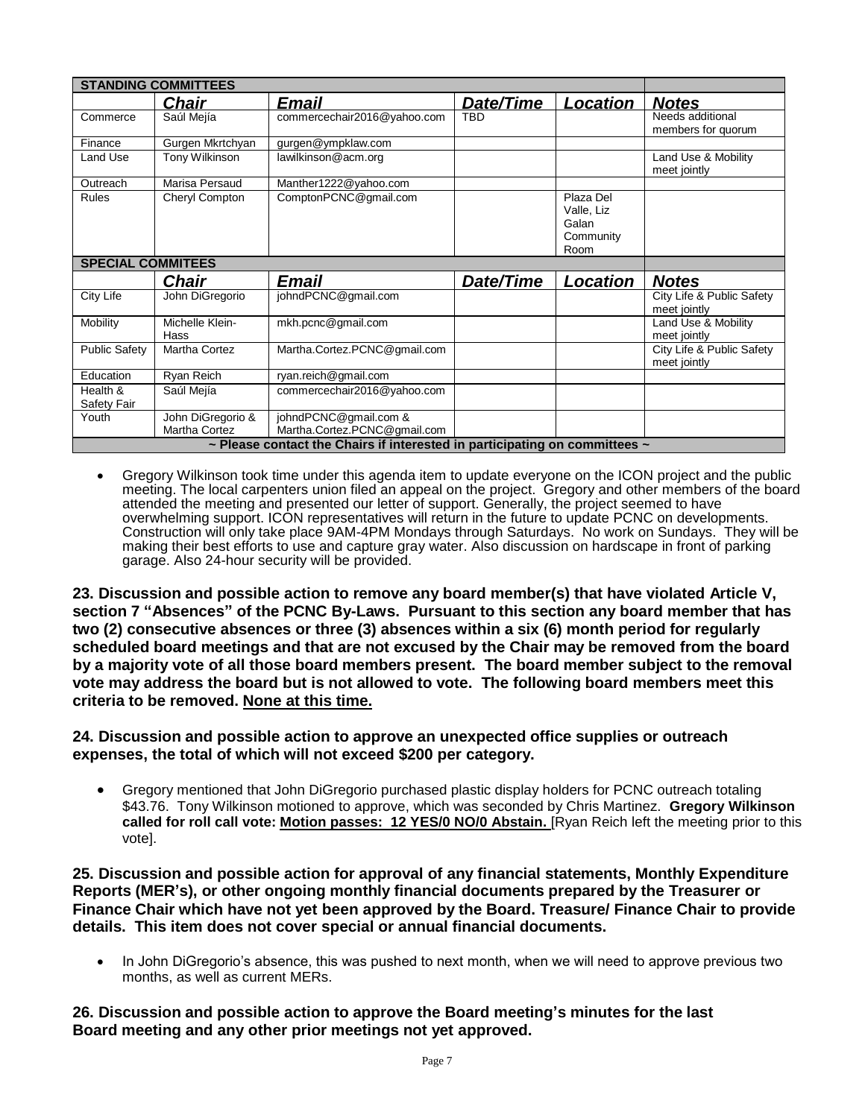| <b>STANDING COMMITTEES</b>                                                           |                                    |                                                       |            |                                                       |                                           |
|--------------------------------------------------------------------------------------|------------------------------------|-------------------------------------------------------|------------|-------------------------------------------------------|-------------------------------------------|
|                                                                                      | <u>Chair</u>                       | Email                                                 | Date/Time  | <u>Location</u>                                       | <b>Notes</b>                              |
| Commerce                                                                             | Saúl Mejía                         | commercechair2016@yahoo.com                           | <b>TBD</b> |                                                       | Needs additional<br>members for quorum    |
| Finance                                                                              | Gurgen Mkrtchyan                   | gurgen@ympklaw.com                                    |            |                                                       |                                           |
| Land Use                                                                             | Tony Wilkinson                     | lawilkinson@acm.org                                   |            |                                                       | Land Use & Mobility<br>meet jointly       |
| Outreach                                                                             | Marisa Persaud                     | Manther1222@yahoo.com                                 |            |                                                       |                                           |
| Rules                                                                                | Cheryl Compton                     | ComptonPCNC@gmail.com                                 |            | Plaza Del<br>Valle, Liz<br>Galan<br>Community<br>Room |                                           |
| <b>SPECIAL COMMITEES</b>                                                             |                                    |                                                       |            |                                                       |                                           |
|                                                                                      | Chair                              | Email                                                 | Date/Time  | Location                                              | <b>Notes</b>                              |
| City Life                                                                            | John DiGregorio                    | johndPCNC@gmail.com                                   |            |                                                       | City Life & Public Safety<br>meet jointly |
| Mobility                                                                             | Michelle Klein-<br>Hass            | mkh.pcnc@gmail.com                                    |            |                                                       | Land Use & Mobility<br>meet jointly       |
| <b>Public Safety</b>                                                                 | Martha Cortez                      | Martha.Cortez.PCNC@gmail.com                          |            |                                                       | City Life & Public Safety<br>meet jointly |
| Education                                                                            | Ryan Reich                         | ryan.reich@gmail.com                                  |            |                                                       |                                           |
| Health &<br>Safety Fair                                                              | Saúl Mejía                         | commercechair2016@yahoo.com                           |            |                                                       |                                           |
| Youth                                                                                | John DiGregorio &<br>Martha Cortez | johndPCNC@gmail.com &<br>Martha.Cortez.PCNC@gmail.com |            |                                                       |                                           |
| $\sim$ Please contact the Chairs if interested in participating on committees $\sim$ |                                    |                                                       |            |                                                       |                                           |

• Gregory Wilkinson took time under this agenda item to update everyone on the ICON project and the public meeting. The local carpenters union filed an appeal on the project. Gregory and other members of the board attended the meeting and presented our letter of support. Generally, the project seemed to have overwhelming support. ICON representatives will return in the future to update PCNC on developments. Construction will only take place 9AM-4PM Mondays through Saturdays. No work on Sundays. They will be making their best efforts to use and capture gray water. Also discussion on hardscape in front of parking garage. Also 24-hour security will be provided.

**23. Discussion and possible action to remove any board member(s) that have violated Article V, section 7 "Absences" of the PCNC By-Laws. Pursuant to this section any board member that has two (2) consecutive absences or three (3) absences within a six (6) month period for regularly scheduled board meetings and that are not excused by the Chair may be removed from the board by a majority vote of all those board members present. The board member subject to the removal vote may address the board but is not allowed to vote. The following board members meet this criteria to be removed. None at this time.**

#### **24. Discussion and possible action to approve an unexpected office supplies or outreach expenses, the total of which will not exceed \$200 per category.**

• Gregory mentioned that John DiGregorio purchased plastic display holders for PCNC outreach totaling \$43.76. Tony Wilkinson motioned to approve, which was seconded by Chris Martinez. **Gregory Wilkinson called for roll call vote: Motion passes: 12 YES/0 NO/0 Abstain.** [Ryan Reich left the meeting prior to this vote].

**25. Discussion and possible action for approval of any financial statements, Monthly Expenditure Reports (MER's), or other ongoing monthly financial documents prepared by the Treasurer or Finance Chair which have not yet been approved by the Board. Treasure/ Finance Chair to provide details. This item does not cover special or annual financial documents.** 

• In John DiGregorio's absence, this was pushed to next month, when we will need to approve previous two months, as well as current MERs.

**26. Discussion and possible action to approve the Board meeting's minutes for the last Board meeting and any other prior meetings not yet approved.**